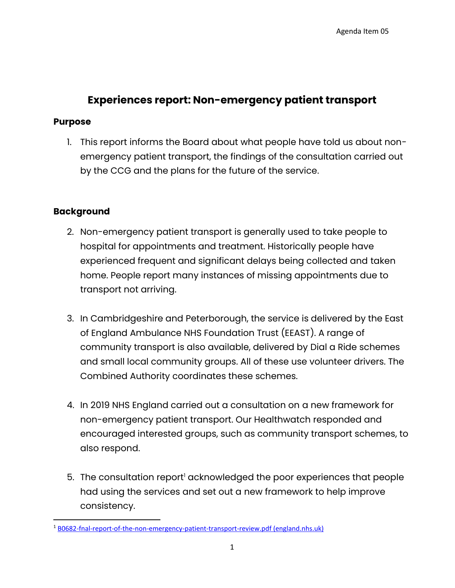# **Experiences report: Non-emergency patient transport**

## **Purpose**

1. This report informs the Board about what people have told us about nonemergency patient transport, the findings of the consultation carried out by the CCG and the plans for the future of the service.

# **Background**

- 2. Non-emergency patient transport is generally used to take people to hospital for appointments and treatment. Historically people have experienced frequent and significant delays being collected and taken home. People report many instances of missing appointments due to transport not arriving.
- 3. In Cambridgeshire and Peterborough, the service is delivered by the East of England Ambulance NHS Foundation Trust (EEAST). A range of community transport is also available, delivered by Dial a Ride schemes and small local community groups. All of these use volunteer drivers. The Combined Authority coordinates these schemes.
- 4. In 2019 NHS England carried out a consultation on a new framework for non-emergency patient transport. Our Healthwatch responded and encouraged interested groups, such as community transport schemes, to also respond.
- 5. The consultation report<sup>1</sup> acknowledged the poor experiences that people had using the services and set out a new framework to help improve consistency.

<sup>1</sup> [B0682-fnal-report-of-the-non-emergency-patient-transport-review.pdf \(england.nhs.uk\)](https://www.england.nhs.uk/wp-content/uploads/2021/08/B0682-fnal-report-of-the-non-emergency-patient-transport-review.pdf)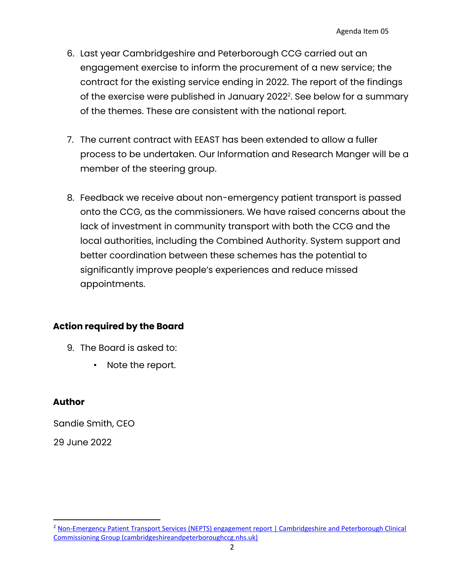- 6. Last year Cambridgeshire and Peterborough CCG carried out an engagement exercise to inform the procurement of a new service; the contract for the existing service ending in 2022. The report of the findings of the exercise were published in January 2022 2 . See below for a summary of the themes. These are consistent with the national report.
- 7. The current contract with EEAST has been extended to allow a fuller process to be undertaken. Our Information and Research Manger will be a member of the steering group.
- 8. Feedback we receive about non-emergency patient transport is passed onto the CCG, as the commissioners. We have raised concerns about the lack of investment in community transport with both the CCG and the local authorities, including the Combined Authority. System support and better coordination between these schemes has the potential to significantly improve people's experiences and reduce missed appointments.

# **Action required by the Board**

- 9. The Board is asked to:
	- Note the report.

# **Author**

Sandie Smith, CEO 29 June 2022

<sup>2</sup> [Non-Emergency Patient Transport Services \(NEPTS\) engagement report | Cambridgeshire and Peterborough Clinical](https://www.cambridgeshireandpeterboroughccg.nhs.uk/get-involved/consultations-engagement/non-emergency-patient-transport-services-nepts-engagement-report/)  [Commissioning Group \(cambridgeshireandpeterboroughccg.nhs.uk\)](https://www.cambridgeshireandpeterboroughccg.nhs.uk/get-involved/consultations-engagement/non-emergency-patient-transport-services-nepts-engagement-report/)